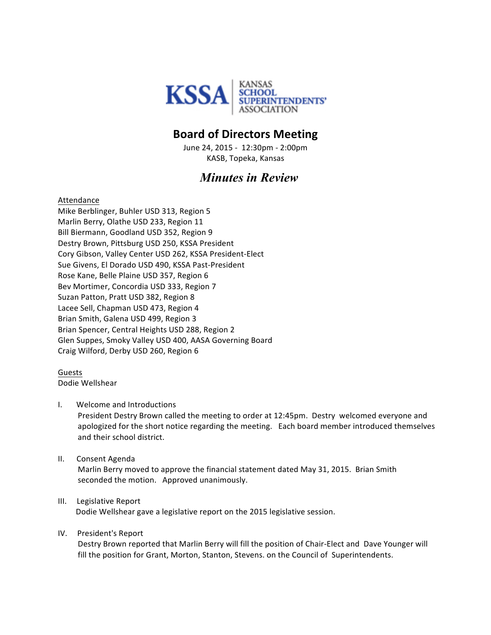

## **Board of Directors Meeting**

June 24, 2015 - 12:30pm - 2:00pm KASB, Topeka, Kansas

# *Minutes in Review*

Attendance

Mike Berblinger, Buhler USD 313, Region 5 Marlin Berry, Olathe USD 233, Region 11 Bill Biermann, Goodland USD 352, Region 9 Destry Brown, Pittsburg USD 250, KSSA President Cory Gibson, Valley Center USD 262, KSSA President-Elect Sue Givens, El Dorado USD 490, KSSA Past-President Rose Kane, Belle Plaine USD 357, Region 6 Bev Mortimer, Concordia USD 333, Region 7 Suzan Patton, Pratt USD 382, Region 8 Lacee Sell, Chapman USD 473, Region 4 Brian Smith, Galena USD 499, Region 3 Brian Spencer, Central Heights USD 288, Region 2 Glen Suppes, Smoky Valley USD 400, AASA Governing Board Craig Wilford, Derby USD 260, Region 6

Guests Dodie Wellshear 

#### I. Welcome and Introductions

President Destry Brown called the meeting to order at 12:45pm. Destry welcomed everyone and apologized for the short notice regarding the meeting. Each board member introduced themselves and their school district.

II. Consent Agenda Marlin Berry moved to approve the financial statement dated May 31, 2015. Brian Smith seconded the motion. Approved unanimously.

## III. Legislative Report Dodie Wellshear gave a legislative report on the 2015 legislative session.

## IV. President's Report

Destry Brown reported that Marlin Berry will fill the position of Chair-Elect and Dave Younger will fill the position for Grant, Morton, Stanton, Stevens. on the Council of Superintendents.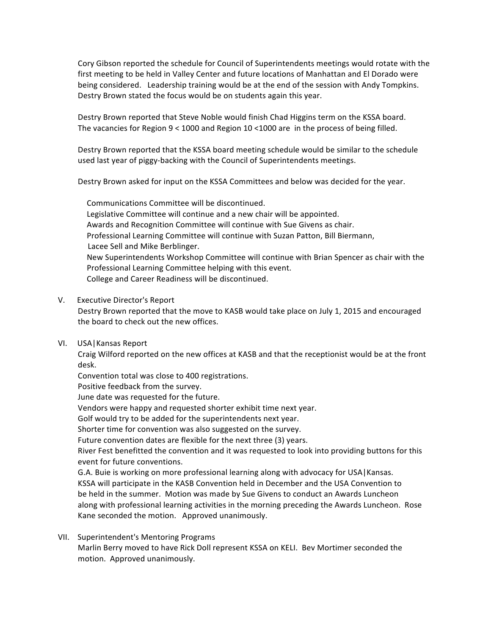Cory Gibson reported the schedule for Council of Superintendents meetings would rotate with the first meeting to be held in Valley Center and future locations of Manhattan and El Dorado were being considered. Leadership training would be at the end of the session with Andy Tompkins. Destry Brown stated the focus would be on students again this year.

Destry Brown reported that Steve Noble would finish Chad Higgins term on the KSSA board. The vacancies for Region  $9 < 1000$  and Region 10 <1000 are in the process of being filled.

Destry Brown reported that the KSSA board meeting schedule would be similar to the schedule used last year of piggy-backing with the Council of Superintendents meetings.

Destry Brown asked for input on the KSSA Committees and below was decided for the year.

Communications Committee will be discontinued. Legislative Committee will continue and a new chair will be appointed. Awards and Recognition Committee will continue with Sue Givens as chair. Professional Learning Committee will continue with Suzan Patton, Bill Biermann, Lacee Sell and Mike Berblinger. New Superintendents Workshop Committee will continue with Brian Spencer as chair with the Professional Learning Committee helping with this event. College and Career Readiness will be discontinued.

V. Executive Director's Report

Destry Brown reported that the move to KASB would take place on July 1, 2015 and encouraged the board to check out the new offices.

VI. USA | Kansas Report

Craig Wilford reported on the new offices at KASB and that the receptionist would be at the front desk.

Convention total was close to 400 registrations.

Positive feedback from the survey.

June date was requested for the future.

Vendors were happy and requested shorter exhibit time next year.

Golf would try to be added for the superintendents next year.

Shorter time for convention was also suggested on the survey.

Future convention dates are flexible for the next three (3) years.

River Fest benefitted the convention and it was requested to look into providing buttons for this event for future conventions.

G.A. Buie is working on more professional learning along with advocacy for USA | Kansas. KSSA will participate in the KASB Convention held in December and the USA Convention to be held in the summer. Motion was made by Sue Givens to conduct an Awards Luncheon along with professional learning activities in the morning preceding the Awards Luncheon. Rose Kane seconded the motion. Approved unanimously.

VII. Superintendent's Mentoring Programs Marlin Berry moved to have Rick Doll represent KSSA on KELI. Bev Mortimer seconded the motion. Approved unanimously.